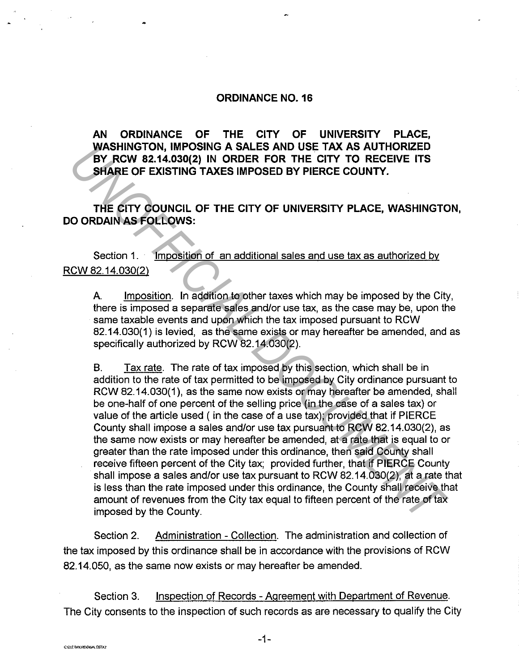## **ORDINANCE N0.16**

**AN ORDINANCE OF THE CITY OF UNIVERSITY PLACE, WASHINGTON, IMPOSING A SALES AND USE TAX AS AUTHORIZED BY RCW 82.14.030(2) IN ORDER FOR THE CITY TO RECEIVE ITS SHARE OF EXISTING TAXES IMPOSED BY PIERCE COUNTY.** 

**THE CITY COUNCIL OF THE CITY OF UNIVERSITY PLACE, WASHINGTON, DO ORDAIN AS FOLLOWS:** 

Section 1. · Imposition of an additional sales and use tax as authorized by RCW 82.14.030(2)

A. Imposition. In addition to other taxes which may be imposed by the City, there is imposed a separate sales and/or use tax, as the case may be, upon the same taxable events and upon which the tax imposed pursuant to RCW 82.14.030(1) is levied, as the same exists or may hereafter be amended, and as specifically authorized by RCW 82.14.030(2).

B. Tax rate. The rate of tax imposed by this section, which shall be in addition to the rate of tax permitted to be imposed by City ordinance pursuant to RCW 82.14.030(1), as the same now exists or may hereafter be amended, shall be one-half of one percent of the selling price (in the case of a sales tax) or value of the article used ( in the case of a use tax); provided that if PIERCE County shall impose a sales and/or use tax pursuant to RCW 82.14.030(2), as the same now exists or may hereafter be amended, at a rate that is equal to or greater than the rate imposed under this ordinance, then said County shall receive fifteen percent of the City tax; provided further, that if PIERCE County shall impose a sales and/or use tax pursuant to RCW 82.14.030(2), at a rate that is less than the rate imposed under this ordinance, the County shall receive that amount of revenues from the City tax equal to fifteen percent of the rate of tax imposed by the County. **WASHINGTON, INFPOSING A SALES AND USE TAX AS AUTHOKIZED**<br> **EVALUATION CONDUCT AND AND CONDUCT TO RECEIVE ITS**<br> **SHARE OF EXISTING TAXES IMPOSED BY PIERCE COUNTY.**<br> **THE CITY COUNCIL OF THE CITY OF UNIVERSITY PLACE, WASHIN** 

Section 2. Administration - Collection. The administration and collection of the tax imposed by this ordinance shall be in accordance with the provisions of RCW 82.14.050, as the same now exists or may hereafter be amended.

Section 3. Inspection of Records - Agreement with Department of Revenue. The City consents to the inspection of such records as are necessary to qualify the City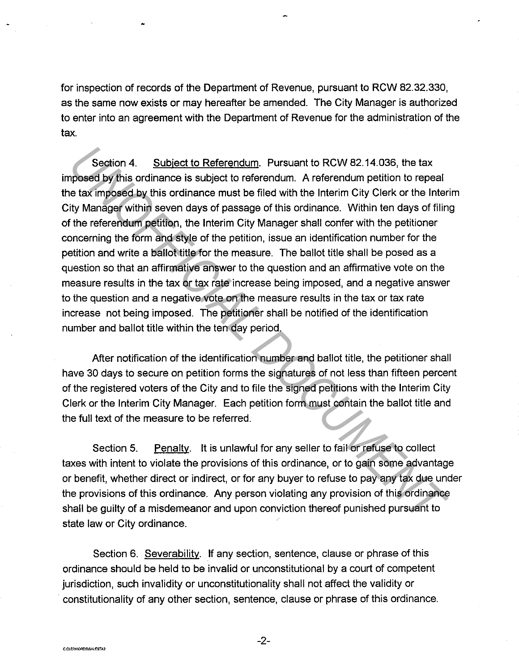for inspection of records of the Department of Revenue, pursuant to RCW 82.32.330, as the same now exists or may hereafter be amended. The City Manager is authorized to enter into an agreement with the Department of Revenue for the administration of the tax.

Section 4. Subject to Referendum. Pursuant to RCW 82.14.036, the tax imposed by this ordinance is subject to referendum. A referendum petition to repeal the tax imposed by this ordinance must be filed with the Interim City Clerk or the Interim City Manager within seven days of passage of this ordinance. Within ten days of filing of the referendum petition, the Interim City Manager shall confer with the petitioner concerning the form and style of the petition, issue an identification number for the petition and write a ballot title for the measure. The ballot title shall be posed as a question so that an affirmative answer to the question and an affirmative vote on the measure results in the tax or tax rate increase being imposed, and a negative answer to the question and a negative vote on the measure results in the tax or tax rate increase not being imposed. The petitioner shall be notified of the identification number and ballot title within the ten day period. Section 4. Subject to Referendum. Pursuant to RCW 82.14.036, the tax<br>ppased by this ordinance is subject to referendum. A referendum petition to repeat<br>e tax imposed by this ordinance is subject to referendum. A referendum

After notification of the identification number and ballot title, the petitioner shall have 30 days to secure on petition forms the signatures of not less than fifteen percent of the registered voters of the City and to file the signed petitions with the Interim City Clerk or the Interim City Manager. Each petition form must contain the ballot title and the full text of the measure to be referred.

Section 5. Penalty. It is unlawful for any seller to fail or refuse to collect taxes with intent to violate the provisions of this ordinance, or to gain some advantage or benefit, whether direct or indirect, or for any buyer to refuse to pay any tax due under the provisions of this ordinance. Any person violating any provision of this ordinance shall be guilty of a misdemeanor and upon conviction thereof punished pursuant to state law or City ordinance.

Section 6. Severability. If any section, sentence, clause or phrase of this ordinance should be held to be invalid or unconstitutional by a court of competent jurisdiction, such invalidity or unconstitutionality shall not affect the validity or · constitutionality of any other section, sentence, clause or phrase of this ordinance.

-2-